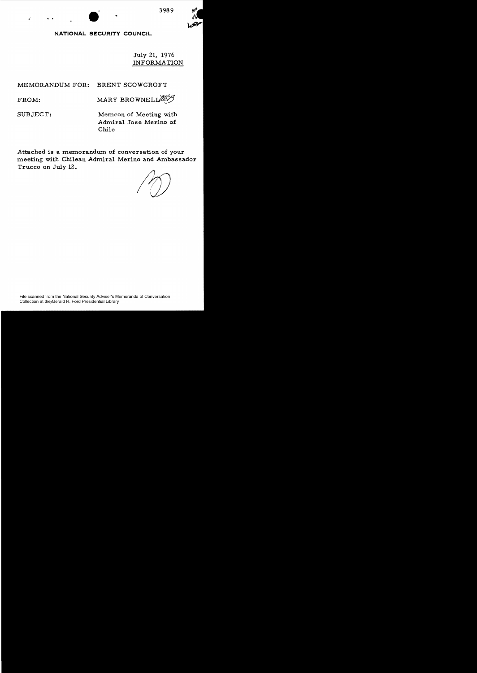

# **NATIONAL SECURITY COUNCIL**

July 21, 1976 INFORMATION

MEMORANDUM FOR: BRENT SCOWCROFT

 $FROM:$  MARY BROWNELIZE

.' ..

SUBJECT: Memcon of Meeting with Admiral Jose Merino of Chile

Attached is a memorandum of conversation of your meeting with Chilean Admiral Merino and Ambassador Trucco on July 12.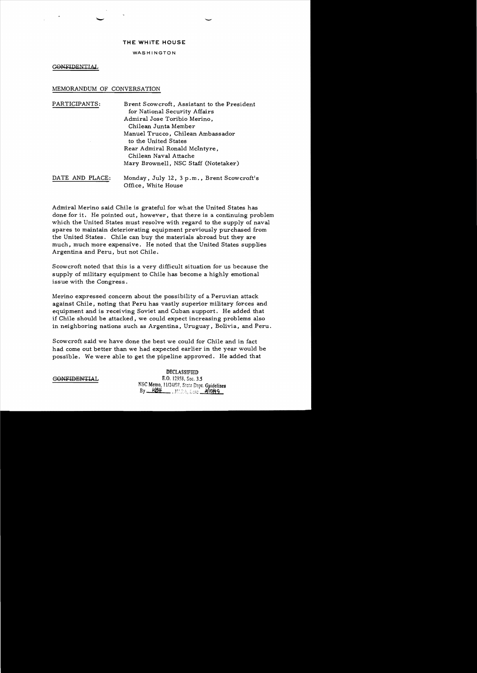### **THE WHITE HOUSE**

#### WASHINGTON

GONFIDENTIAL

# MEMORANDUM OF CONVERSATION

PARTICIPANTS: Brent Scowcroft, Assistant to the President for National Security Affairs Admiral Jose Toribio Merino, Chilean Junta Member Manuel Trucco, Chilean Ambassador to the United States Rear Admiral Ronald McIntyre, Chilean Naval Attache Mary Brownell, NSC Staff (Notetaker) DATE AND PLACE: Monday, July 12, 3 p.m., Brent Scowcroft's Office, White House

Admiral Merino said Chile is grateful for what the United States has done for it. He pointed out, however, that there is a continuing problem which the United States must resolve with regard to the supply of naval spares to maintain deteriorating equipment previously purchased from the United States. Chile can buy the materials abroad but they are much, much more expensive. He noted that the United States supplies Argentina and Peru, but not Chile.

Scowcroft noted that this is a very difficult situation for us because the supply of military equipment to Chile has become a highly emotional issue with the Congress.

Merino expressed concern about the possibility of a Peruvian attack against Chile, noting that Peru has vastly superior military forces and equipment and is receiving Soviet and Cuban support. He added that if Chile should be attacked, we could expect increasing problems also in neighboring nations such as Argentina, Uruguay, Bolivia, and Peru.

Scowcroft said we have done the best we could for Chile and in fact had come out better than we had expected earlier in the year would be possible. We were able to get the pipeline approved. He added that

DECLASSIFIED  **E.O. 12958, Sec. 3.5** NSC Memo, 11/24/98, State Dept. Guidelines By <u>KBH</u>, MARA Late 3/10/q9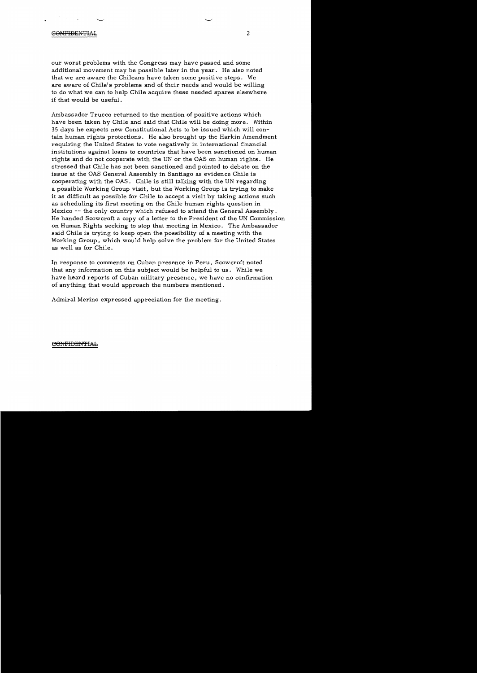## $\begin{array}{ccc} \text{G}\text{ONF} \text{I}\text{D}\text{E}\text{N} \text{T} \text{I}\text{A}\text{L} \end{array}$  2

our worst problems with the Congress may have passed and some additional movement may be possible later in the year. He also noted that we are aware the Chileans have taken some positive steps. We are aware of Chile's problems and of their needs and would be willing to do what we can to help Chile acquire these needed spares elsewhere if that would be useful.

Ambassador Trucco returned to the mention of positive actions which have been taken by Chile and said that Chile will be doing more. Within 35 days he expects new Constitutional Acts to be issued which will contain human rights protections. He also brought up the Harkin Amendment requiring the United States to vote negatively in international financial institutions against loans to countries that have been sanctioned on human rights and do not cooperate with the UN or the OAS on human rights. He stressed that Chile has not been sanctioned and pointed to debate on the issue at the OAS General Assembly in Santiago as evidence Chile is cooperating with the OAS. Chile is still talking with the UN regarding a possible Working Group visit, but the Working Group is trying to make it as difficult as possible for Chile to accept a visit by taking actions such as scheduling its first meeting on the Chile human rights question in Mexico -- the only country which refused to attend the General Assembly. He handed Scowcroft a copy of a letter to the President of the UN Commission on Human Rights seeking to stop that meeting in Mexico. The Ambassador said Chile is trying to keep open the possibility of a meeting with the Working Group, which would help solve the problem for the United States as well as for Chile.

In response to comments on Cuban presence in Peru, Scowcroft noted that any information on this subject would be helpful to us. While we have heard reports of Cuban military presence, we have no confirmation of anything that would approach the numbers mentioned.

Admiral Merino expressed appreciation for the meeting.

#### €OfiFIDENTIA:t.